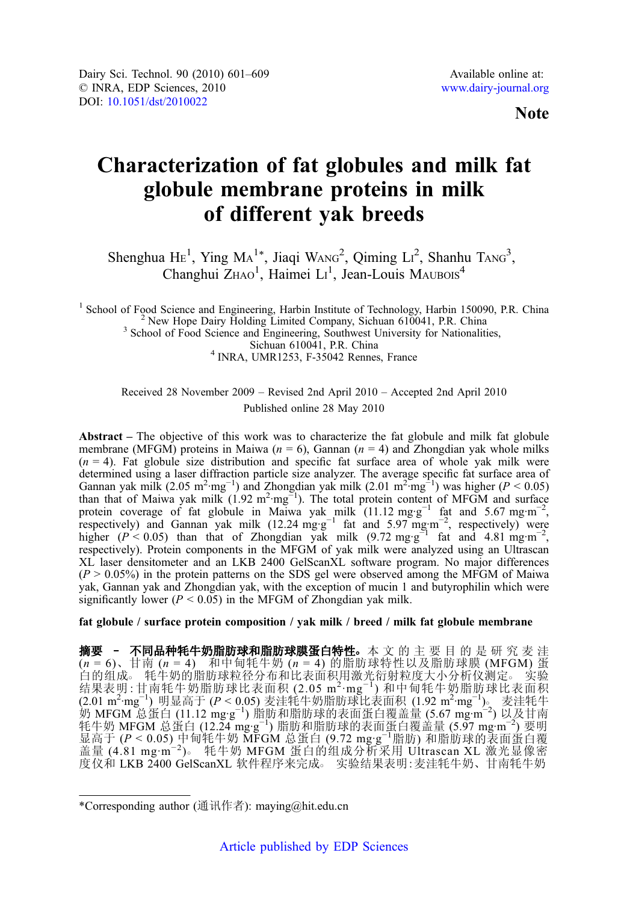Note

# Characterization of fat globules and milk fat globule membrane proteins in milk of different yak breeds

Shenghua  $\text{He}^1$ , Ying  $\text{Ma}^{1*}$ , Jiaqi WANG<sup>2</sup>, Qiming Li<sup>2</sup>, Shanhu TANG<sup>3</sup>, Changhui ZHAO<sup>1</sup>, Haimei LI<sup>1</sup>, Jean-Louis MAUBOIS<sup>4</sup>

<sup>1</sup> School of Food Science and Engineering, Harbin Institute of Technology, Harbin 150090, P.R. China<br><sup>2</sup> New Hope Dairy Holding Limited Company, Sichuan 610041, P.R. China<br><sup>3</sup> School of Food Science and Engineering, Sout  $4$  INRA, UMR1253, F-35042 Rennes, France

Received 28 November 2009 – Revised 2nd April 2010 – Accepted 2nd April 2010 Published online 28 May 2010

Abstract – The objective of this work was to characterize the fat globule and milk fat globule membrane (MFGM) proteins in Maiwa ( $n = 6$ ), Gannan ( $n = 4$ ) and Zhongdian yak whole milks  $(n = 4)$ . Fat globule size distribution and specific fat surface area of whole yak milk were determined using a laser diffraction particle size analyzer. The average specific fat surface area of Gannan yak milk (2.05 m<sup>2</sup>·mg<sup>-1</sup>) and Zhongdian yak milk (2.01 m<sup>2·</sup>mg<sup>-1</sup>) was higher ( $P < 0.05$ )<br>than that of Maiwa yak milk (1.92 m<sup>2</sup>·mg<sup>-1</sup>). The total protein content of MFGM and surface<br>protein coverage of fat glo respectively). Protein components in the MFGM of yak milk were analyzed using an Ultrascan XL laser densitometer and an LKB 2400 GelScanXL software program. No major differences  $(P > 0.05\%)$  in the protein patterns on the SDS gel were observed among the MFGM of Maiwa yak, Gannan yak and Zhongdian yak, with the exception of mucin 1 and butyrophilin which were significantly lower ( $P < 0.05$ ) in the MFGM of Zhongdian yak milk.

fat globule / surface protein composition / yak milk / breed / milk fat globule membrane

摘要 - 不同品种牦牛奶脂肪球和脂肪球膜蛋白特性。本 文 的 主 要 目 的 是 研 究 麦 洼  $(n = 6)$ 、甘南  $(n = 4)$  和中甸牦牛奶  $(n = 4)$  的脂肪球特性以及脂肪球膜 (MFGM) 蛋 白的组成○ 牦牛奶的脂肪球粒径分布和比表面积用激光衍射粒度大小分析仪测定○ 实验 结果表明:甘南牦牛奶脂肪球比表面积 (2.05 m<sup>2</sup> ·mg−<sup>1</sup> ) 和中甸牦牛奶脂肪球比表面积 (2.01 m<sup>2</sup>·mg<sup>-1</sup>) 明显高于 (P < 0.05) 麦洼牦牛奶脂肪球比表面积 (1.92 m<sup>2</sup>·mg<sup>-1</sup>)。 麦洼牦牛 奶 MFGM 总蛋白 (11.12 mg·g<sup>-1</sup>) 脂肪和脂肪球的表面蛋白覆盖量 (5.67 mg·m<sup>-2</sup>) 以及甘南<br>牦牛奶 MFGM 总蛋白 (12.24 mg·g<sup>-1</sup>) 脂肪和脂肪球的表面蛋白覆盖量 (5.97 mg·m<sup>-2</sup>) 要明<br>显高于 (P < 0.05) 中甸牦牛奶 MFGM 总蛋白 (9.72 mg·g<sup>-1</sup>脂肪) 和脂肪球的表面蛋白覆<br>盖量 (4.81 mg·m<sup>-2</sup>)。 牦牛奶 MFGM 蛋白的组成 度仪和 LKB 2400 GelScanXL 软件程序来完成。 实验结果表明:麦洼牦牛奶、甘南牦牛奶

<sup>\*</sup>Corresponding author (通讯作者): maying@hit.edu.cn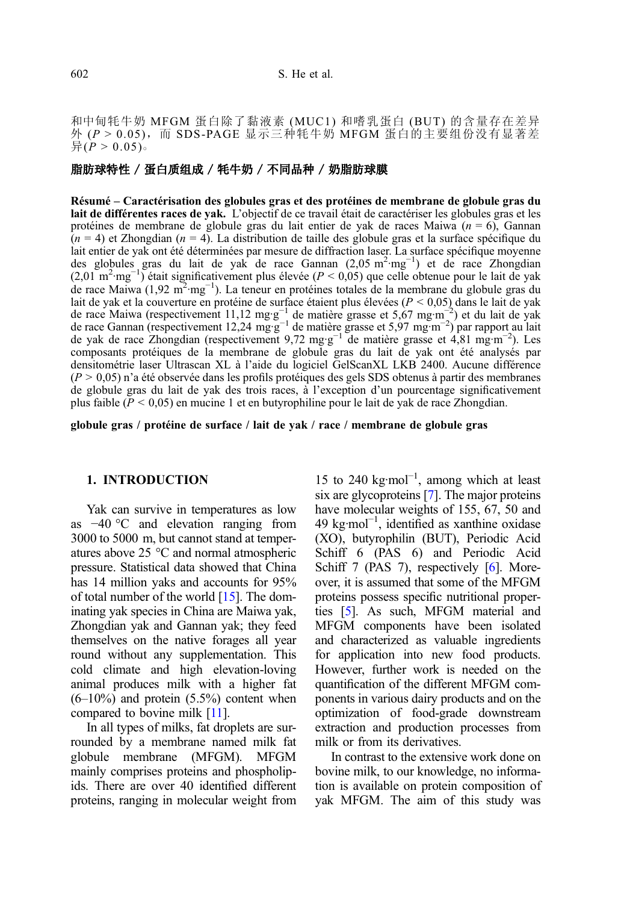和中甸牦牛奶 MFGM 蛋白除了黏液素 (MUC1) 和嗜乳蛋白 (BUT) 的含量存在差异 外 ( $P > 0.05$ ), 而 SDS-PAGE 显示三种牦牛奶 MFGM 蛋白的主要组份没有显著差  $\frac{1}{2}$ ( $\dot{P} > 0.05$ )。

# 脂肪球特性 / 蛋白质组成 / 牦牛奶 / 不同品种 / 奶脂肪球膜

Résumé – Caractérisation des globules gras et des protéines de membrane de globule gras du lait de différentes races de yak. L'objectif de ce travail était de caractériser les globules gras et les protéines de membrane de globule gras du lait entier de yak de races Maiwa  $(n = 6)$ , Gannan  $(n = 4)$  et Zhongdian  $(n = 4)$ . La distribution de taille des globule gras et la surface spécifique du lait entier de yak ont été déterminées par mesure de diffraction laser. La surface spécifique moyenne des globules gras du lait de yak de race Gannan (2,05 m<sup>2</sup>·mg<sup>-1</sup>) et de race Zhongdian  $(2.01 \text{ m}^2 \cdot \text{mg}^{-1})$  était significativement plus élevée ( $P < 0.05$ ) que celle obtenue pour le lait de yak de race Maiwa (1,92 m<sup>2</sup>·mg<sup>-1</sup>). La teneur en protéines totales de la membrane du globule gras du lait de yak et la couverture en protéine de surface étaient plus élevées ( $P < 0.05$ ) dans le lait de yak de race Maiwa (respectivement 11,12 mg·g<sup>−1</sup> de matière grasse et 5,67 mg·m<sup>−2</sup>) et du lait de yak<br>de race Gannan (respectivement 12,24 mg·g<sup>−1</sup> de matière grasse et 5,97 mg·m<sup>−2</sup>) par rapport au lait de yak de race Zhongdian (respectivement 9,72 mg·g<sup>-1</sup> de matière grasse et 4,81 mg·m<sup>-2</sup>). Les composants protéiques de la membrane de globule gras du lait de yak ont été analysés par densitométrie laser Ultrascan XL à l'aide du logiciel GelScanXL LKB 2400. Aucune différence  $(P > 0.05)$  n'a été observée dans les profils protéiques des gels SDS obtenus à partir des membranes de globule gras du lait de yak des trois races, à l'exception d'un pourcentage significativement plus faible ( $P < 0.05$ ) en mucine 1 et en butyrophiline pour le lait de yak de race Zhongdian.

globule gras / protéine de surface / lait de yak / race / membrane de globule gras

#### 1. INTRODUCTION

Yak can survive in temperatures as low as −40 °C and elevation ranging from 3000 to 5000 m, but cannot stand at temperatures above 25 °C and normal atmospheric pressure. Statistical data showed that China has 14 million yaks and accounts for 95% of total number of the world [[15](#page-8-0)]. The dominating yak species in China are Maiwa yak, Zhongdian yak and Gannan yak; they feed themselves on the native forages all year round without any supplementation. This cold climate and high elevation-loving animal produces milk with a higher fat  $(6-10\%)$  and protein  $(5.5\%)$  content when compared to bovine milk [[11](#page-8-0)].

In all types of milks, fat droplets are surrounded by a membrane named milk fat globule membrane (MFGM). MFGM mainly comprises proteins and phospholipids. There are over 40 identified different proteins, ranging in molecular weight from

15 to 240 kg·mol<sup>-1</sup>, among which at least six are glycoproteins [\[7](#page-7-0)]. The major proteins have molecular weights of 155, 67, 50 and 49 kg·mol−<sup>1</sup> , identified as xanthine oxidase (XO), butyrophilin (BUT), Periodic Acid Schiff 6 (PAS 6) and Periodic Acid Schiff 7 (PAS 7), respectively [[6](#page-7-0)]. Moreover, it is assumed that some of the MFGM proteins possess specific nutritional properties [\[5\]](#page-7-0). As such, MFGM material and MFGM components have been isolated and characterized as valuable ingredients for application into new food products. However, further work is needed on the quantification of the different MFGM components in various dairy products and on the optimization of food-grade downstream extraction and production processes from milk or from its derivatives.

In contrast to the extensive work done on bovine milk, to our knowledge, no information is available on protein composition of yak MFGM. The aim of this study was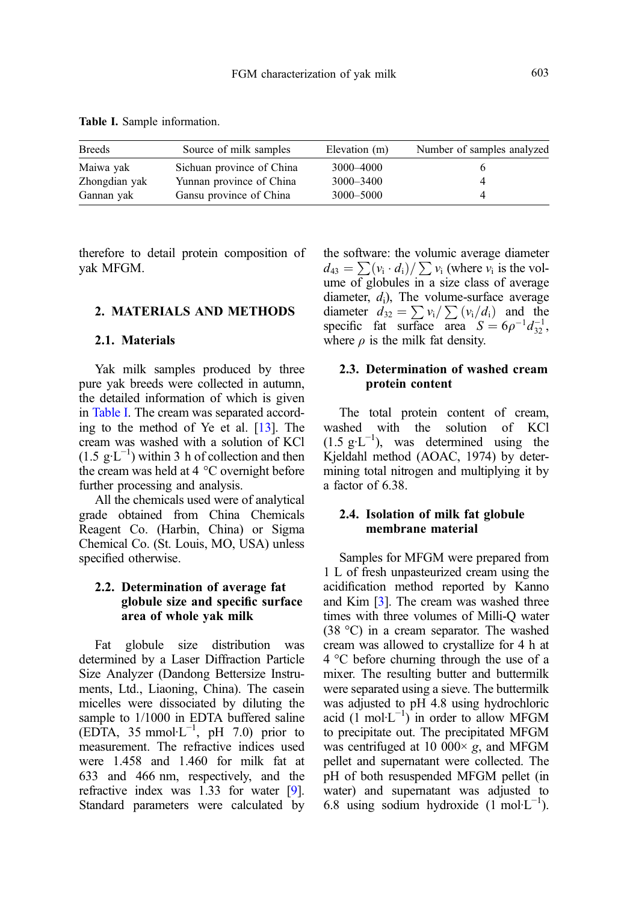Table I. Sample information.

| <b>Breeds</b> | Source of milk samples    | Elevation (m) | Number of samples analyzed |
|---------------|---------------------------|---------------|----------------------------|
| Maiwa yak     | Sichuan province of China | 3000-4000     |                            |
| Zhongdian yak | Yunnan province of China  | $3000 - 3400$ |                            |
| Gannan yak    | Gansu province of China   | 3000-5000     |                            |

therefore to detail protein composition of yak MFGM.

#### 2. MATERIALS AND METHODS

#### 2.1. Materials

Yak milk samples produced by three pure yak breeds were collected in autumn, the detailed information of which is given in Table I. The cream was separated according to the method of Ye et al. [[13](#page-8-0)]. The cream was washed with a solution of KCl  $(1.5 \text{ g} \cdot \text{L}^{-1})$  within 3 h of collection and then the cream was held at 4 °C overnight before further processing and analysis.

All the chemicals used were of analytical grade obtained from China Chemicals Reagent Co. (Harbin, China) or Sigma Chemical Co. (St. Louis, MO, USA) unless specified otherwise.

## 2.2. Determination of average fat globule size and specific surface area of whole yak milk

Fat globule size distribution was determined by a Laser Diffraction Particle Size Analyzer (Dandong Bettersize Instruments, Ltd., Liaoning, China). The casein micelles were dissociated by diluting the sample to 1/1000 in EDTA buffered saline  $(EDTA, 35$  mmol·L<sup>-1</sup>, pH 7.0) prior to measurement. The refractive indices used were 1.458 and 1.460 for milk fat at 633 and 466 nm, respectively, and the refractive index was 1.33 for water [\[9](#page-7-0)]. Standard parameters were calculated by the software: the volumic average diameter  $d_{43} = \sum_{i} (v_i \cdot d_i) / \sum_{i} v_i$  (where  $v_i$  is the volume of globules in a size class of average diameter,  $d_i$ ), The volume-surface average diameter  $d_{32} = \sum_{i} v_i / \sum_{i} (v_i / d_i)$  and the specific fat surface area  $S = 6\rho^{-1}d_{32}^{-1}$ , where  $\rho$  is the milk fat density.

## 2.3. Determination of washed cream protein content

The total protein content of cream, washed with the solution of KCl  $(1.5 \text{ g} \cdot \text{L}^{-1})$ , was determined using the Kjeldahl method (AOAC, 1974) by determining total nitrogen and multiplying it by a factor of 6.38.

# 2.4. Isolation of milk fat globule membrane material

Samples for MFGM were prepared from 1 L of fresh unpasteurized cream using the acidification method reported by Kanno and Kim [\[3\]](#page-7-0). The cream was washed three times with three volumes of Milli-Q water (38 °C) in a cream separator. The washed cream was allowed to crystallize for 4 h at 4 °C before churning through the use of a mixer. The resulting butter and buttermilk were separated using a sieve. The buttermilk was adjusted to pH 4.8 using hydrochloric acid  $(\overline{1} \text{ mol} \cdot \overline{L}^{-1})$  in order to allow MFGM to precipitate out. The precipitated MFGM was centrifuged at 10 000 $\times$  g, and MFGM pellet and supernatant were collected. The pH of both resuspended MFGM pellet (in water) and supernatant was adjusted to 6.8 using sodium hydroxide  $(1 \text{ mol} \cdot L^{-1})$ .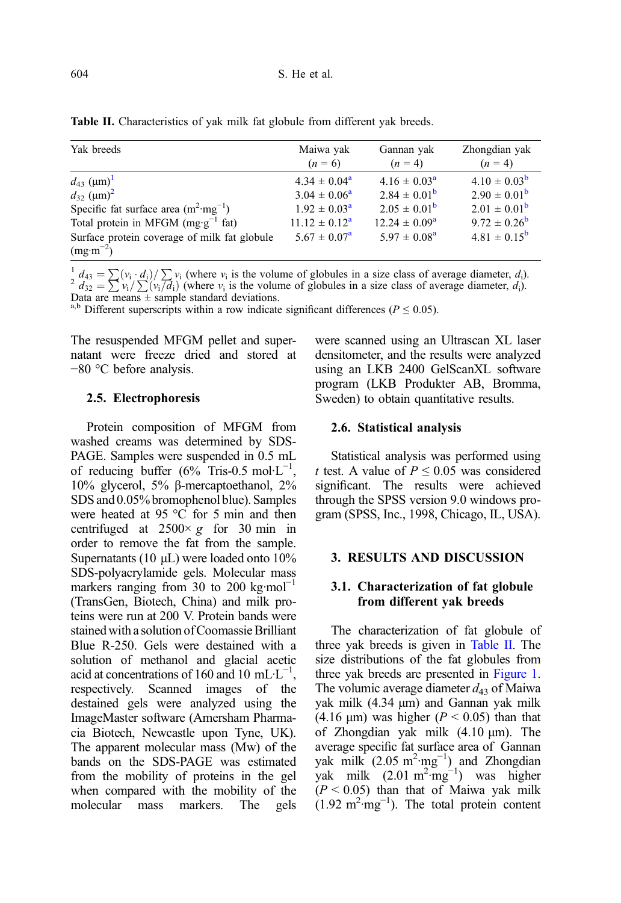| Yak breeds                                      | Maiwa yak<br>$(n = 6)$  | Gannan yak<br>$(n = 4)$ | Zhongdian yak<br>$(n = 4)$ |
|-------------------------------------------------|-------------------------|-------------------------|----------------------------|
| $d_{43}$ (µm) <sup>1</sup>                      | $4.34 \pm 0.04^{\circ}$ | $4.16 \pm 0.03^{\rm a}$ | $4.10 \pm 0.03^{b}$        |
| $d_{32}$ (um) <sup>2</sup>                      | $3.04 \pm 0.06^a$       | $2.84 \pm 0.01^{\rm b}$ | $2.90 \pm 0.01^{\rm b}$    |
| Specific fat surface area $(m^2 \cdot mg^{-1})$ | $1.92 \pm 0.03^{\rm a}$ | $2.05 \pm 0.01^{\rm b}$ | $2.01 \pm 0.01^{\rm b}$    |
| Total protein in MFGM $(mg \cdot g^{-1}$ fat)   | $11.12 \pm 0.12^a$      | $12.24 \pm 0.09^a$      | $9.72 \pm 0.26^{\rm b}$    |
| Surface protein coverage of milk fat globule    | $5.67 \pm 0.07^{\rm a}$ | $5.97 \pm 0.08^{\rm a}$ | $4.81 \pm 0.15^{b}$        |
| $(mg·m^{-2})$                                   |                         |                         |                            |

Table II. Characteristics of yak milk fat globule from different yak breeds.

 $\frac{1}{2}d_{43} = \sum (v_i \cdot d_i)/\sum v_i$  (where  $v_i$  is the volume of globules in a size class of average diameter,  $d_i$ ).  $d_{32} = \sum v_i/\sum (v_i/d_i)$  (where  $v_i$  is the volume of globules in a size class of average diameter,  $d_i$ ). Data are means  $\pm$  sample standard deviations.

<sup>a,b</sup> Different superscripts within a row indicate significant differences ( $P \le 0.05$ ).

The resuspended MFGM pellet and supernatant were freeze dried and stored at −80 °C before analysis.

#### 2.5. Electrophoresis

Protein composition of MFGM from washed creams was determined by SDS-PAGE. Samples were suspended in 0.5 mL of reducing buffer  $(6\%$  Tris-0.5 mol·L<sup>-1</sup>, 10% glycerol, 5% β-mercaptoethanol, 2% SDS and 0.05% bromophenol blue). Samples were heated at 95 °C for 5 min and then centrifuged at  $2500 \times g$  for 30 min in order to remove the fat from the sample. Supernatants (10 μL) were loaded onto 10% SDS-polyacrylamide gels. Molecular mass markers ranging from 30 to 200 kg·mol<sup>-1</sup> (TransGen, Biotech, China) and milk proteins were run at 200 V. Protein bands were stained with a solution of Coomassie Brilliant Blue R-250. Gels were destained with a solution of methanol and glacial acetic acid at concentrations of 160 and 10 mL·L<sup>-1</sup>, respectively. Scanned images of the destained gels were analyzed using the ImageMaster software (Amersham Pharmacia Biotech, Newcastle upon Tyne, UK). The apparent molecular mass (Mw) of the bands on the SDS-PAGE was estimated from the mobility of proteins in the gel when compared with the mobility of the molecular mass markers. The gels were scanned using an Ultrascan XL laser densitometer, and the results were analyzed using an LKB 2400 GelScanXL software program (LKB Produkter AB, Bromma, Sweden) to obtain quantitative results.

#### 2.6. Statistical analysis

Statistical analysis was performed using t test. A value of  $P \leq 0.05$  was considered significant. The results were achieved through the SPSS version 9.0 windows program (SPSS, Inc., 1998, Chicago, IL, USA).

## 3. RESULTS AND DISCUSSION

# 3.1. Characterization of fat globule from different yak breeds

The characterization of fat globule of three yak breeds is given in Table II. The size distributions of the fat globules from three yak breeds are presented in [Figure 1](#page-4-0). The volumic average diameter  $d_{43}$  of Maiwa yak milk (4.34 μm) and Gannan yak milk (4.16 μm) was higher ( $P < 0.05$ ) than that of Zhongdian yak milk (4.10 μm). The average specific fat surface area of Gannan yak milk  $(2.05 \text{ m}^2 \cdot \text{mg}^{-1})$  and Zhongdian yak milk  $(2.01 \text{ m}^2 \cdot \text{mg}^{-1})$  was higher  $(P < 0.05)$  than that of Maiwa yak milk  $(1.92 \text{ m}^2 \cdot \text{mg}^{-1})$ . The total protein content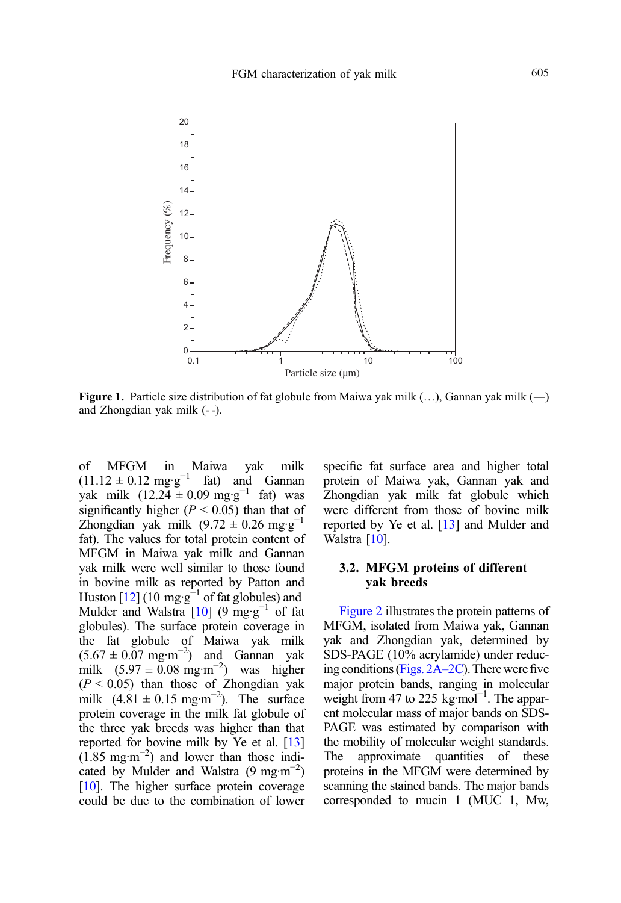<span id="page-4-0"></span>

**Figure 1.** Particle size distribution of fat globule from Maiwa yak milk  $(...)$ , Gannan yak milk  $(-)$ and Zhongdian yak milk (- -).

of MFGM in Maiwa yak milk  $(11.12 \pm 0.12 \text{ mg} \cdot \text{g}^{-1} \text{ fat})$  and Gannan yak milk (12.24 ± 0.09 mg·g<sup>-1</sup> fat) was significantly higher ( $P < 0.05$ ) than that of Zhongdian yak milk  $(9.72 \pm 0.26 \text{ mg} \cdot \text{g}^{-1})$ fat). The values for total protein content of MFGM in Maiwa yak milk and Gannan yak milk were well similar to those found in bovine milk as reported by Patton and Huston  $[12]$  $[12]$  $[12]$  (10 mg·g<sup>-1</sup> of fat globules) and Mulder and Walstra  $[10]$  (9 mg·g<sup>-1</sup> of fat globules). The surface protein coverage in the fat globule of Maiwa yak milk  $(5.67 \pm 0.07 \text{ mg} \cdot \text{m}^{-2})$  and Gannan yak milk  $(5.97 \pm 0.08 \text{ mg} \cdot \text{m}^{-2})$  was higher  $(P < 0.05)$  than those of Zhongdian yak milk  $(4.81 \pm 0.15 \text{ mg} \cdot \text{m}^{-2})$ . The surface protein coverage in the milk fat globule of the three yak breeds was higher than that reported for bovine milk by Ye et al. [[13](#page-8-0)]  $(1.85 \text{ mg} \cdot \text{m}^{-2})$  and lower than those indicated by Mulder and Walstra (9 mg·m−<sup>2</sup> ) [[10](#page-8-0)]. The higher surface protein coverage could be due to the combination of lower specific fat surface area and higher total protein of Maiwa yak, Gannan yak and Zhongdian yak milk fat globule which were different from those of bovine milk reported by Ye et al. [\[13](#page-8-0)] and Mulder and Walstra [\[10\]](#page-8-0).

# 3.2. MFGM proteins of different yak breeds

[Figure 2](#page-5-0) illustrates the protein patterns of MFGM, isolated from Maiwa yak, Gannan yak and Zhongdian yak, determined by SDS-PAGE (10% acrylamide) under reducing conditions [\(Figs. 2A](#page-5-0)–2C). There were five major protein bands, ranging in molecular weight from 47 to 225 kg·mol<sup>-1</sup>. The apparent molecular mass of major bands on SDS-PAGE was estimated by comparison with the mobility of molecular weight standards. The approximate quantities of these proteins in the MFGM were determined by scanning the stained bands. The major bands corresponded to mucin 1 (MUC 1, Mw,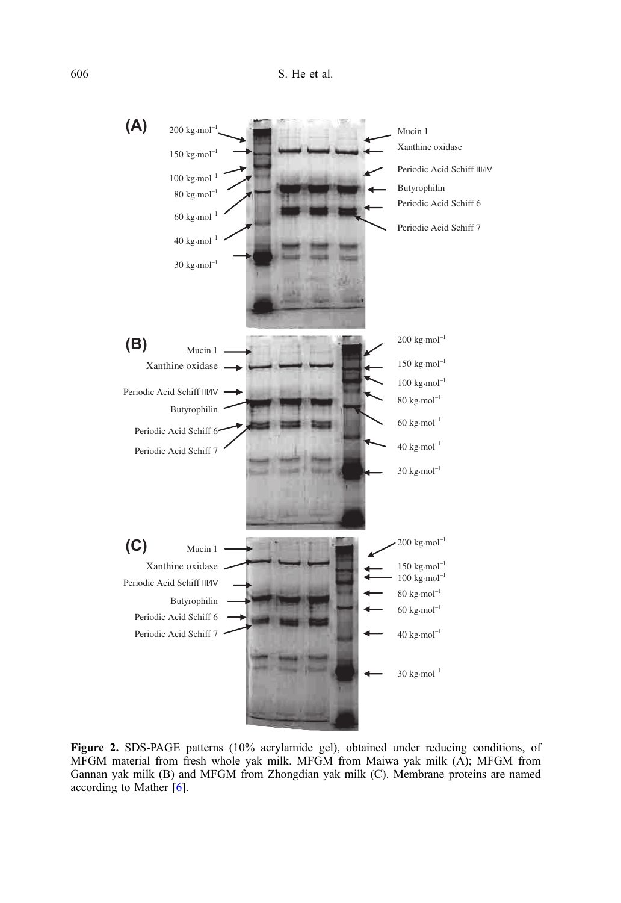<span id="page-5-0"></span>

Figure 2. SDS-PAGE patterns (10% acrylamide gel), obtained under reducing conditions, of MFGM material from fresh whole yak milk. MFGM from Maiwa yak milk (A); MFGM from Gannan yak milk (B) and MFGM from Zhongdian yak milk (C). Membrane proteins are named according to Mather [[6](#page-7-0)].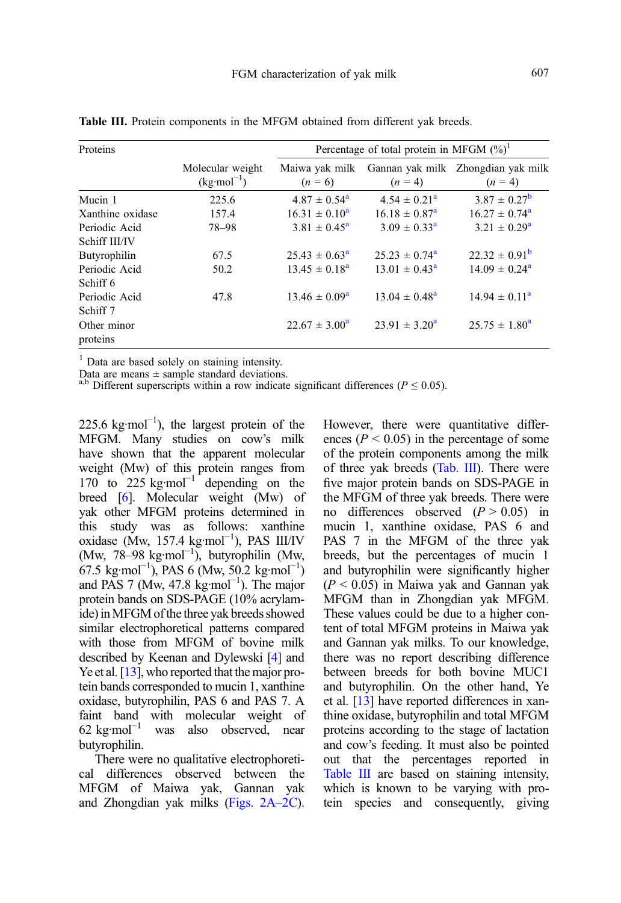| Proteins         |                                           | Percentage of total protein in MFGM $(\%)^1$ |                          |                                                 |  |
|------------------|-------------------------------------------|----------------------------------------------|--------------------------|-------------------------------------------------|--|
|                  | Molecular weight<br>$(kg \cdot mol^{-1})$ | Maiwa yak milk<br>$(n = 6)$                  | $(n = 4)$                | Gannan yak milk Zhongdian yak milk<br>$(n = 4)$ |  |
| Mucin 1          | 225.6                                     | $4.87 \pm 0.54^{\circ}$                      | $4.54 \pm 0.21^{\circ}$  | $3.87 \pm 0.27^{\rm b}$                         |  |
| Xanthine oxidase | 157.4                                     | $16.31 \pm 0.10^a$                           | $16.18 \pm 0.87^{\circ}$ | $16.27 \pm 0.74^{\circ}$                        |  |
| Periodic Acid    | 78-98                                     | $3.81 \pm 0.45^{\circ}$                      | $3.09 \pm 0.33^a$        | $3.21 \pm 0.29^a$                               |  |
| Schiff III/IV    |                                           |                                              |                          |                                                 |  |
| Butyrophilin     | 67.5                                      | $25.43 \pm 0.63^{\circ}$                     | $25.23 \pm 0.74^{\circ}$ | $22.32 \pm 0.91^{\rm b}$                        |  |
| Periodic Acid    | 50.2                                      | $13.45 \pm 0.18^a$                           | $13.01 \pm 0.43^{\circ}$ | $14.09 \pm 0.24^{\circ}$                        |  |
| Schiff 6         |                                           |                                              |                          |                                                 |  |
| Periodic Acid    | 47.8                                      | $13.46 \pm 0.09^{\rm a}$                     | $13.04 \pm 0.48^{\circ}$ | $14.94 \pm 0.11^a$                              |  |
| Schiff 7         |                                           |                                              |                          |                                                 |  |
| Other minor      |                                           | $22.67 \pm 3.00^a$                           | $23.91 \pm 3.20^a$       | $25.75 \pm 1.80^{\circ}$                        |  |
| proteins         |                                           |                                              |                          |                                                 |  |

<span id="page-6-0"></span>Table III. Protein components in the MFGM obtained from different yak breeds.

<sup>1</sup> Data are based solely on staining intensity.

Data are means  $\pm$  sample standard deviations.

<sup>a,b</sup> Different superscripts within a row indicate significant differences ( $P \le 0.05$ ).

 $225.6 \text{ kg·mol}^{-1}$ ), the largest protein of the MFGM. Many studies on cow's milk have shown that the apparent molecular weight (Mw) of this protein ranges from 170 to 225 kg·mol<sup>-1</sup> depending on the breed [\[6\]](#page-7-0). Molecular weight (Mw) of yak other MFGM proteins determined in this study was as follows: xanthine oxidase (Mw, 157.4 kg·mol−<sup>1</sup> ), PAS III/IV (Mw, 78–98 kg·mol−<sup>1</sup> ), butyrophilin (Mw,  $67.5 \text{ kg} \cdot \text{mol}^{-1}$ ), PAS 6 (Mw, 50.2 kg $\cdot \text{mol}^{-1}$ ) and PAS 7 (Mw, 47.8 kg·mol−<sup>1</sup> ). The major protein bands on SDS-PAGE (10% acrylamide) inMFGM of the three yak breeds showed similar electrophoretical patterns compared with those from MFGM of bovine milk described by Keenan and Dylewski [\[4](#page-7-0)] and Ye et al. [\[13](#page-8-0)], who reported that the major protein bands corresponded to mucin 1, xanthine oxidase, butyrophilin, PAS 6 and PAS 7. A faint band with molecular weight of  $62 \text{ kg/mol}^{-1}$  was also observed, near butyrophilin.

There were no qualitative electrophoretical differences observed between the MFGM of Maiwa yak, Gannan yak and Zhongdian yak milks [\(Figs. 2A](#page-5-0)–2C). However, there were quantitative differences ( $P < 0.05$ ) in the percentage of some of the protein components among the milk of three yak breeds (Tab. III). There were five major protein bands on SDS-PAGE in the MFGM of three yak breeds. There were no differences observed  $(P > 0.05)$  in mucin 1, xanthine oxidase, PAS 6 and PAS 7 in the MFGM of the three yak breeds, but the percentages of mucin 1 and butyrophilin were significantly higher  $(P < 0.05)$  in Maiwa yak and Gannan yak MFGM than in Zhongdian yak MFGM. These values could be due to a higher content of total MFGM proteins in Maiwa yak and Gannan yak milks. To our knowledge, there was no report describing difference between breeds for both bovine MUC1 and butyrophilin. On the other hand, Ye et al. [\[13\]](#page-8-0) have reported differences in xanthine oxidase, butyrophilin and total MFGM proteins according to the stage of lactation and cow's feeding. It must also be pointed out that the percentages reported in Table III are based on staining intensity, which is known to be varying with protein species and consequently, giving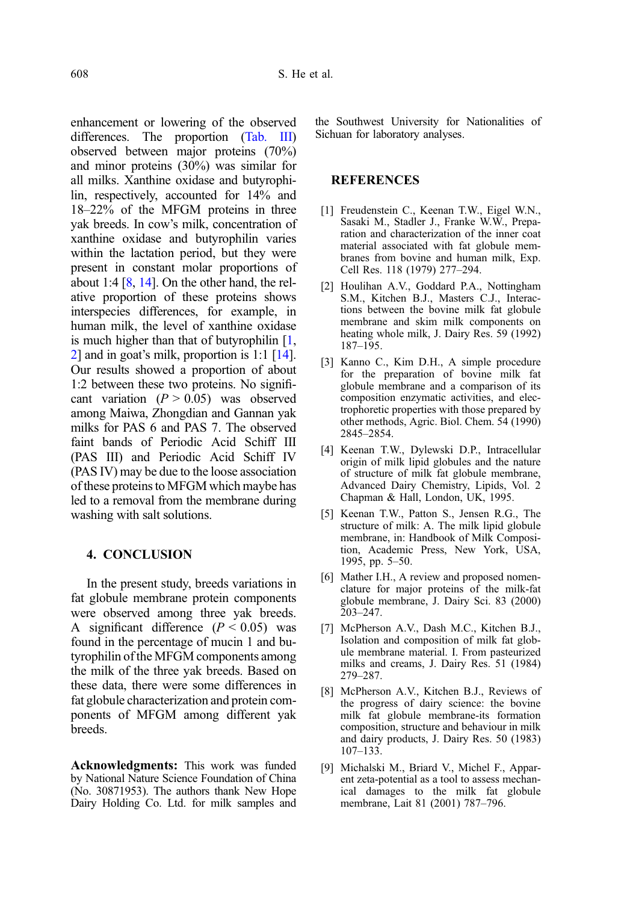<span id="page-7-0"></span>enhancement or lowering of the observed differences. The proportion ([Tab. III](#page-6-0)) observed between major proteins (70%) and minor proteins (30%) was similar for all milks. Xanthine oxidase and butyrophilin, respectively, accounted for 14% and 18–22% of the MFGM proteins in three yak breeds. In cow's milk, concentration of xanthine oxidase and butyrophilin varies within the lactation period, but they were present in constant molar proportions of about 1:4  $[8, 14]$  $[8, 14]$  $[8, 14]$ . On the other hand, the relative proportion of these proteins shows interspecies differences, for example, in human milk, the level of xanthine oxidase is much higher than that of butyrophilin  $[1, 1]$ 2] and in goat's milk, proportion is 1:1 [\[14\]](#page-8-0). Our results showed a proportion of about 1:2 between these two proteins. No significant variation  $(P > 0.05)$  was observed among Maiwa, Zhongdian and Gannan yak milks for PAS 6 and PAS 7. The observed faint bands of Periodic Acid Schiff III (PAS III) and Periodic Acid Schiff IV (PAS IV) may be due to the loose association of these proteins to MFGM which maybe has led to a removal from the membrane during washing with salt solutions.

## 4. CONCLUSION

In the present study, breeds variations in fat globule membrane protein components were observed among three yak breeds. A significant difference  $(P < 0.05)$  was found in the percentage of mucin 1 and butyrophilin of the MFGM components among the milk of the three yak breeds. Based on these data, there were some differences in fat globule characterization and protein components of MFGM among different yak breeds.

Acknowledgments: This work was funded by National Nature Science Foundation of China (No. 30871953). The authors thank New Hope Dairy Holding Co. Ltd. for milk samples and

the Southwest University for Nationalities of Sichuan for laboratory analyses.

#### REFERENCES

- [1] Freudenstein C., Keenan T.W., Eigel W.N., Sasaki M., Stadler J., Franke W.W., Preparation and characterization of the inner coat material associated with fat globule membranes from bovine and human milk, Exp. Cell Res. 118 (1979) 277–294.
- [2] Houlihan A.V., Goddard P.A., Nottingham S.M., Kitchen B.J., Masters C.J., Interactions between the bovine milk fat globule membrane and skim milk components on heating whole milk, J. Dairy Res. 59 (1992) 187–195.
- [3] Kanno C., Kim D.H., A simple procedure for the preparation of bovine milk fat globule membrane and a comparison of its composition enzymatic activities, and electrophoretic properties with those prepared by other methods, Agric. Biol. Chem. 54 (1990) 2845–2854.
- [4] Keenan T.W., Dylewski D.P., Intracellular origin of milk lipid globules and the nature of structure of milk fat globule membrane, Advanced Dairy Chemistry, Lipids, Vol. 2 Chapman & Hall, London, UK, 1995.
- [5] Keenan T.W., Patton S., Jensen R.G., The structure of milk: A. The milk lipid globule membrane, in: Handbook of Milk Composition, Academic Press, New York, USA, 1995, pp. 5–50.
- [6] Mather I.H., A review and proposed nomenclature for major proteins of the milk-fat globule membrane, J. Dairy Sci. 83 (2000) 203–247.
- [7] McPherson A.V., Dash M.C., Kitchen B.J., Isolation and composition of milk fat globule membrane material. I. From pasteurized milks and creams, J. Dairy Res. 51 (1984) 279–287.
- [8] McPherson A.V., Kitchen B.J., Reviews of the progress of dairy science: the bovine milk fat globule membrane-its formation composition, structure and behaviour in milk and dairy products, J. Dairy Res. 50 (1983) 107–133.
- [9] Michalski M., Briard V., Michel F., Apparent zeta-potential as a tool to assess mechanical damages to the milk fat globule membrane, Lait 81 (2001) 787–796.